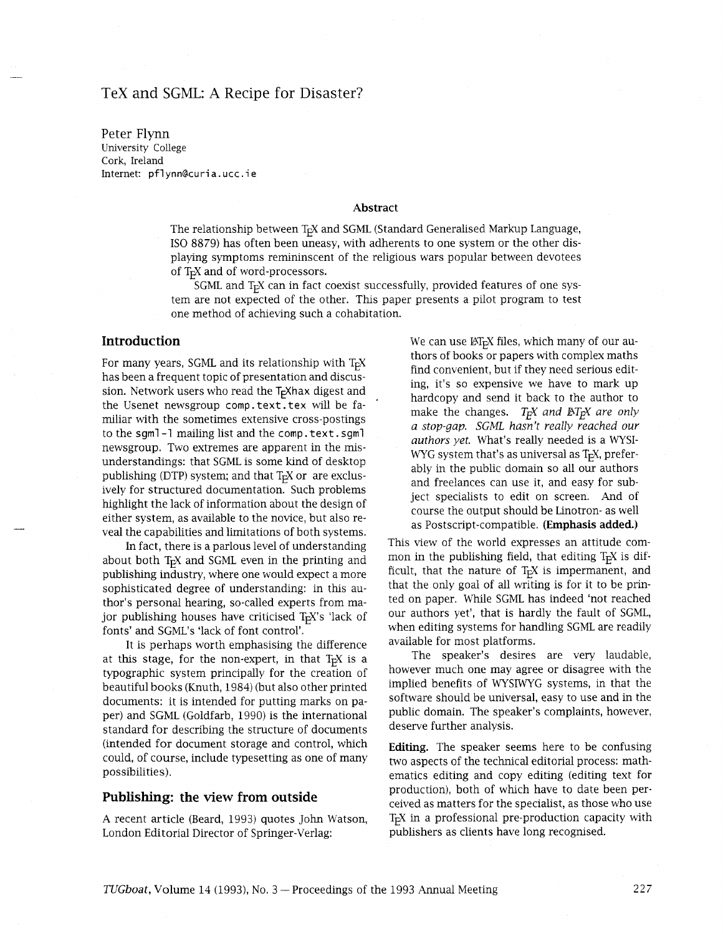# TeX and SGML: A Recipe for Disaster?

Peter Flynn University College Cork, Ireland Internet: pflynn@curia.ucc.ie

#### **Abstract**

The relationship between T<sub>F</sub>X and SGML (Standard Generalised Markup Language, IS0 8879) has often been uneasy, with adherents to one system or the other displaying symptoms remininscent of the religious wars popular between devotees of  $T<sub>F</sub>X$  and of word-processors.

SGML and T<sub>F</sub>X can in fact coexist successfully, provided features of one system are not expected of the other. This paper presents a pilot program to test one method of acheving such a cohabitation.

#### **Introduction**

For many years, SGML and its relationship with  $T<sub>F</sub>X$ has been a frequent topic of presentation and discussion. Network users who read the  $T<sub>F</sub>X$ hax digest and the Usenet newsgroup comp. text. tex will be familiar with the sometimes extensive cross-postings to the sgml-1 mailing list and the comp. text. sgml newsgroup. Two extremes are apparent in the misunderstandings: that SGML is some kind of desktop publishing (DTP) system; and that  $T<sub>F</sub>X$  or are exclusively for structured documentation. Such problems highlight the lack of information about the design of either system, as available to the novice, but also reveal the capabilities and limitations of both systems.

In fact, there is a parlous level of understanding about both  $T<sub>F</sub>X$  and SGML even in the printing and publishing industry, where one would expect a more sophisticated degree of understanding: in this author's personal hearing, so-called experts from major publishing houses have criticised  $T<sub>F</sub>X$ 's 'lack of fonts' and SGML's 'lack of font control'.

It is perhaps worth emphasising the difference at this stage, for the non-expert, in that  $T<sub>F</sub>X$  is a typographic system principally for the creation of beautiful books (Knuth, 1984) (but also other printed documents: it is intended for putting marks on paper) and SGML (Goldfarb, 1990) is the international standard for describing the structure of documents (intended for document storage and control, which could, of course, include typesetting as one of many possibilities).

#### **Publishing: the view from outside**

A recent article (Beard, 1993) quotes John Watson, London Editorial Director of Springer-Verlag:

We can use  $\mathbb{M}_{F}X$  files, which many of our authors of books or papers with complex maths find convenient, but if they need serious editing, it's so expensive we have to mark up hardcopy and send it back to the author to make the changes.  $T_F X$  and  $BT_F X$  are only *a stop-gap. SGML hasn't really reached our authors yet.* What's really needed is a WYSI-WYG system that's as universal as  $T<sub>F</sub>X$ , preferably in the public domain so all our authors and freelances can use it, and easy for subject specialists to edit on screen. And of course the output should be Linotron- as well as Postscript-compatible. **(Emphasis added.)** 

This view of the world expresses an attitude common in the publishing field, that editing  $T<sub>F</sub>X$  is difficult, that the nature of  $T<sub>F</sub>X$  is impermanent, and that the only goal of all writing is for it to be printed on paper. Whde SGML has indeed 'not reached our authors yet', that is hardly the fault of SGML, when editing systems for handling SGML are readily available for most platforms.

The speaker's desires are very laudable, however much one may agree or disagree with the implied benefits of WYSIWYG systems, in that the software should be universal, easy to use and in the public domain. The speaker's complaints, however, deserve further analysis.

**Editing.** The speaker seems here to be confusing two aspects of the technical editorial process: mathematics editing and copy editing (editing text for production), both of which have to date been perceived as matters for the specialist, as those who use T<sub>E</sub>X in a professional pre-production capacity with publishers as clients have long recognised.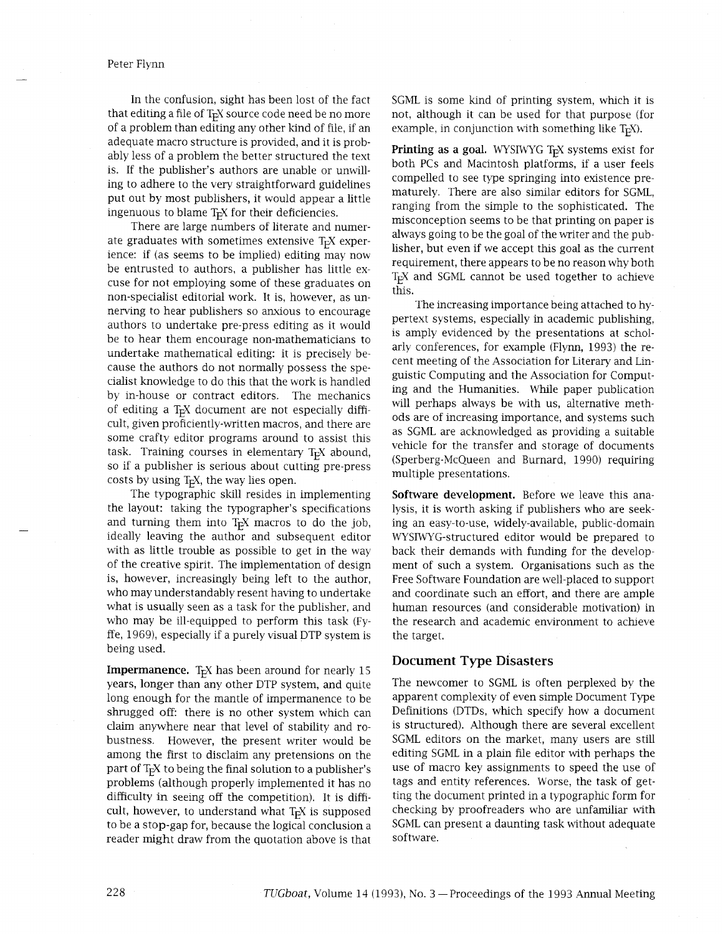In the confusion, sight has been lost of the fact that editing a file of  $T<sub>F</sub>X$  source code need be no more of a problem than editing any other kind of file, if an adequate macro structure is provided, and it is probably less of a problem the better structured the text is. If the publisher's authors are unable or unwilling to adhere to the very straightforward guidelines put out by most publishers, it would appear a little ingenuous to blame  $T<sub>F</sub>X$  for their deficiencies.

There are large numbers of literate and numerate graduates with sometimes extensive  $T<sub>F</sub>X$  experience: if (as seems to be implied) editing may now be entrusted to authors, a publisher has little excuse for not employing some of these graduates on non-specialist editorial work. It is, however, as unnerving to hear publishers so anxious to encourage authors to undertake pre-press editing as it would be to hear them encourage non-mathematicians to undertake mathematical editing: it is precisely because the authors do not normally possess the specialist knowledge to do this that the work is handled by in-house or contract editors. The mechanics of editing a  $T_F X$  document are not especially difficult, given proficiently-written macros, and there are some crafty editor programs around to assist this task. Training courses in elementary  $T<sub>F</sub>X$  abound, so if a publisher is serious about cutting pre-press costs by using  $T<sub>E</sub>X$ , the way lies open.

The typographic skll resides in implementing the layout: taking the typographer's specifications and turning them into  $T<sub>F</sub>X$  macros to do the job, ideally leaving the author and subsequent editor with as little trouble as possible to get in the way of the creative spirit. The implementation of design is, however, increasingly being left to the author, who may understandably resent having to undertake what is usually seen as a task for the publisher, and who may be ill-equipped to perform this task (Fyffe, 1969), especially if a purely visual DTP system is being used.

**Impermanence.**  $T<sub>F</sub>X$  has been around for nearly 15 years, longer than any other DTP system, and quite long enough for the mantle of impermanence to be shrugged off: there is no other system which can claim anywhere near that level of stability and robustness. However, the present writer would be among the first to disclaim any pretensions on the part of T<sub>F</sub>X to being the final solution to a publisher's problems (although properly implemented it has no difficulty in seeing off the competition). It is difficult, however, to understand what  $T<sub>F</sub>X$  is supposed to be a stop-gap for, because the logical conclusion a reader might draw from the quotation above is that

SGML is some kind of printing system, which it is not, although it can be used for that purpose (for example, in conjunction with something like  $T<sub>F</sub>X$ ).

**Printing as a goal.** WYSIWYG T<sub>E</sub>X systems exist for both PCs and Macintosh platforms, if a user feels compelled to see type springing into existence prematurely. There are also similar editors for SGML, ranging from the simple to the sophisticated. The misconception seems to be that printing on paper is always going to be the goal of the writer and the publisher, but even if we accept this goal as the current requirement, there appears to be no reason why both T<sub>E</sub>X and SGML cannot be used together to achieve this.

The increasing importance being attached to hypertext systems, especially in academic publishing, is amply evidenced by the presentations at scholarly conferences, for example (Flynn, 1993) the recent meeting of the Association for Literary and Linguistic Computing and the Association for Computing and the Humanities. While paper publication will perhaps always be with us, alternative methods are of increasing importance, and systems such as SGML are acknowledged as providing a suitable vehicle for the transfer and storage of documents (Sperberg-McQueen and Burnard, 1990) requiring multiple presentations.

**Software development.** Before we leave this analysis, it is worth asking if publishers who are seeking an easy-to-use, widely-available, public-domain WYSIWYG-structured editor would be prepared to back their demands with funding for the development of such a system. Organisations such as the Free Software Foundation are well-placed to support and coordinate such an effort, and there are ample human resources (and considerable motivation) in the research and academic environment to achieve the target.

### **Document Type Disasters**

The newcomer to SGML is often perplexed by the apparent complexity of even simple Document Type Definitions (DTDs, which specify how a document is structured). Although there are several excellent SGML editors on the market, many users are still editing SGML in a plain file editor with perhaps the use of macro key assignments to speed the use of tags and entity references. Worse, the task of getting the document printed in a typographic form for checking by proofreaders who are unfamiliar with SGML can present a daunting task without adequate software.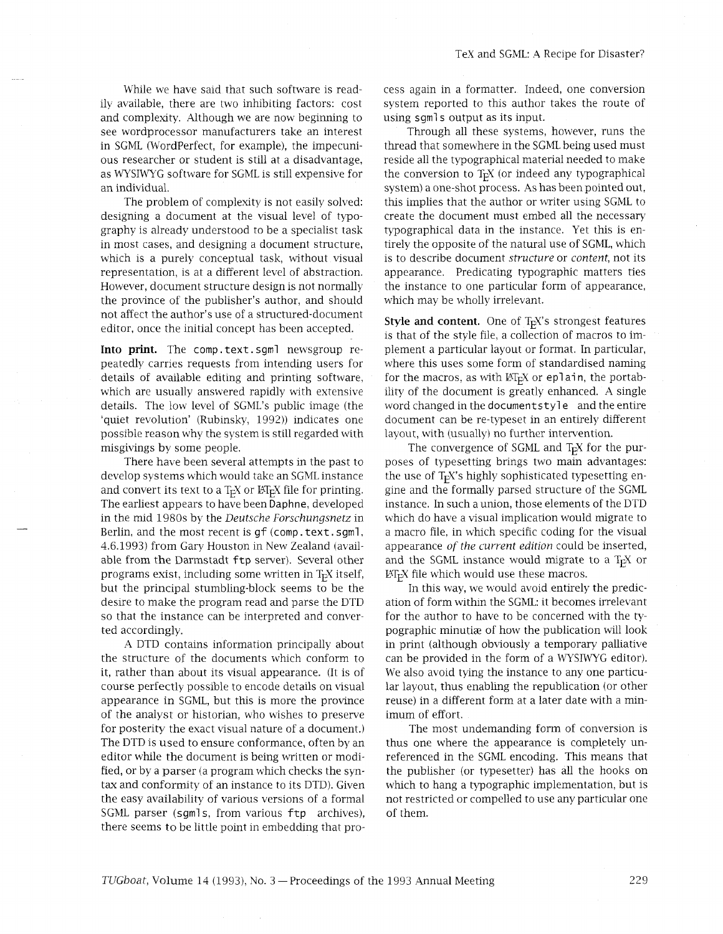while we have said that such software is readily available, there are two inhibiting factors: cost and complexity. Although we are now beginning to see wordprocessor manufacturers take an interest in SGML (WordPerfect, for example), the impecunious researcher or student is still at a disadvantage, as WYSIWYG software for SGML is still expensive for an individual.

The problem of complexity is not easily solved: designing a document at the visual level of typography is already understood to be a specialist task in most cases, and designing a document structure, which is a purely conceptual task, without visual representation, is at a different level of abstraction. However, document structure design is not normally the province of the publisher's author, and should not affect the author's use of a structured-document editor, once the initial concept has been accepted.

**Into print.** The comp .text. sgml newsgroup repeatedly carries requests from intending users for details of available editing and printing software, which are usually answered rapidly with extensive details. The low level of SGML's public image (the 'quiet revolution' (Rubinsky, 1992)) indicates one possible reason why the system is still regarded with misgivings by some people.

There have been several attempts in the past to develop systems which would take an SGML instance and convert its text to a  $T_F X$  or  $\mathbb{F} T_F X$  file for printing. The earliest appears to have been Daphne, developed in the mid 1980s by the *Deutsche Forschungsnetz* in Berlin, and the most recent is gf (comp. text. sgml, 4.6.1993) from Gary Houston in New Zealand (available from the Darmstadt ftp server). Several other programs exist, including some written in  $T<sub>F</sub>X$  itself, but the principal stumbling-block seems to be the desire to make the program read and parse the DTD so that the instance can be interpreted and converted accordingly.

A DTD contains information principally about the structure of the documents which conform to it, rather than about its visual appearance. (It is of course perfectly possible to encode details on visual appearance in SGML, but this is more the province of the analyst or historian, who wishes to preserve for posterity the exact visual nature of a document.) The DTD is used to ensure conformance, often by an editor while the document is being written or modified, or by a parser (a program which checks the syntax and conformity of an instance to its DTD). Given the easy availability of various versions of a formal SGML parser (sqmls, from various ftp archives), there seems to be little point in embedding that process again in a formatter. Indeed, one conversion system reported to this author takes the route of using sgml s output as its input.

Through all these systems, however, runs the thread that somewhere in the SGML being used must reside all the typographical material needed to make the conversion to  $T<sub>F</sub>X$  (or indeed any typographical system) a one-shot process. As has been pointed out, this implies that the author or writer using SGML to create the document must embed all the necessary typographical data in the instance. Yet this is entirely the opposite of the natural use of SGML, which is to describe document *structure* or *content,* not its appearance. Predicating typographic matters ties the instance to one particular form of appearance, which may be wholly irrelevant.

**Style and content.** One of T<sub>E</sub>X's strongest features is that of the style file, a collection of macros to implement a particular layout or format. In particular, where this uses some form of standardised naming for the macros, as with  $\mathbb{MT}_{F}X$  or eplain, the portability of the document is greatly enhanced. A single word changed in the documentstyle and the entire document can be re-typeset in an entirely different layout, with (usually) no further intervention.

The convergence of SGML and  $T_FX$  for the purposes of typesetting brings two main advantages: the use of T<sub>F</sub>X's highly sophisticated typesetting engine and the formally parsed structure of the SGML instance. In such a union, those elements of the DTD which do have a visual implication would migrate to a macro file, in which specific coding for the visual appearance *of the current edition* could be inserted, and the SGML instance would migrate to a  $T<sub>F</sub>X$  or  $\Delta E$ <sub>F</sub>X file which would use these macros.

In this way, we would avoid entirely the predication of form within the SGML: it becomes irrelevant for the author to have to be concerned with the typographic minutiae of how the publication will look in print (although obviously a temporary palliative can be provided in the form of a WYSIWYG editor). We also avoid tying the instance to any one particular layout, thus enabling the republication (or other reuse) in a different form at a later date with a minimum of effort.

The most undemanding form of conversion is thus one where the appearance is completely unreferenced in the SGML encoding. This means that the publisher (or typesetter) has all the hooks on which to hang a typographic implementation, but is not restricted or compelled to use any particular one of them.